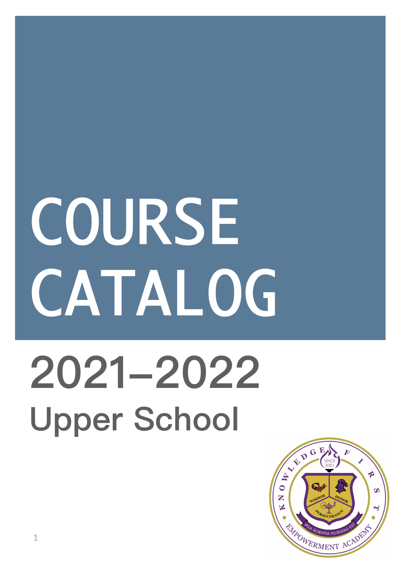# COURSE CATALOG **2021-2022 Upper School**

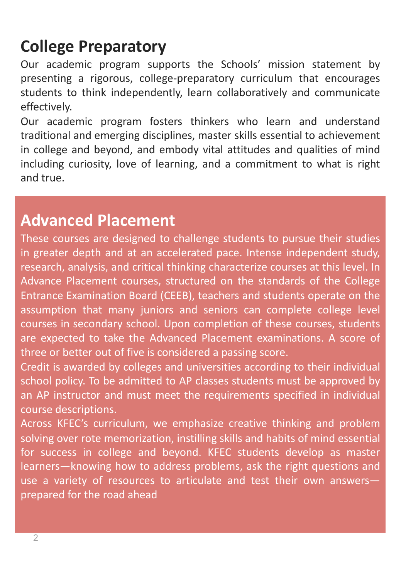# **College Preparatory**

Our academic program supports the Schools' mission statement by presenting a rigorous, college-preparatory curriculum that encourages students to think independently, learn collaboratively and communicate effectively.

Our academic program fosters thinkers who learn and understand traditional and emerging disciplines, master skills essential to achievement in college and beyond, and embody vital attitudes and qualities of mind including curiosity, love of learning, and a commitment to what is right and true.

## **Advanced Placement**

These courses are designed to challenge students to pursue their studies in greater depth and at an accelerated pace. Intense independent study, research, analysis, and critical thinking characterize courses at this level. In Advance Placement courses, structured on the standards of the College Entrance Examination Board (CEEB), teachers and students operate on the assumption that many juniors and seniors can complete college level courses in secondary school. Upon completion of these courses, students are expected to take the Advanced Placement examinations. A score of three or better out of five is considered a passing score.

Credit is awarded by colleges and universities according to their individual school policy. To be admitted to AP classes students must be approved by an AP instructor and must meet the requirements specified in individual course descriptions.

Across KFEC's curriculum, we emphasize creative thinking and problem solving over rote memorization, instilling skills and habits of mind essential for success in college and beyond. KFEC students develop as master learners—knowing how to address problems, ask the right questions and use a variety of resources to articulate and test their own answers prepared for the road ahead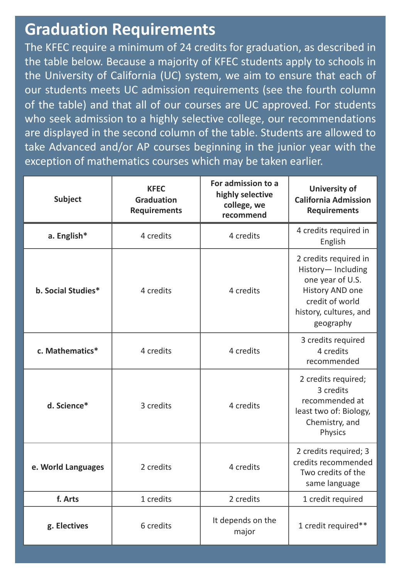## **Graduation Requirements**

The KFEC require a minimum of 24 credits for graduation, as described in the table below. Because a majority of KFEC students apply to schools in the University of California (UC) system, we aim to ensure that each of our students meets UC admission requirements (see the fourth column of the table) and that all of our courses are UC approved. For students who seek admission to a highly selective college, our recommendations are displayed in the second column of the table. Students are allowed to take Advanced and/or AP courses beginning in the junior year with the exception of mathematics courses which may be taken earlier.

| <b>Subject</b>     | <b>KFEC</b><br><b>Graduation</b><br><b>Requirements</b> | For admission to a<br>highly selective<br>college, we<br>recommend | <b>University of</b><br><b>California Admission</b><br><b>Requirements</b>                                                                  |
|--------------------|---------------------------------------------------------|--------------------------------------------------------------------|---------------------------------------------------------------------------------------------------------------------------------------------|
| a. English*        | 4 credits                                               | 4 credits                                                          | 4 credits required in<br>English                                                                                                            |
| b. Social Studies* | 4 credits                                               | 4 credits                                                          | 2 credits required in<br>History-Including<br>one year of U.S.<br>History AND one<br>credit of world<br>history, cultures, and<br>geography |
| c. Mathematics*    | 4 credits                                               | 4 credits                                                          | 3 credits required<br>4 credits<br>recommended                                                                                              |
| d. Science*        | 3 credits                                               | 4 credits                                                          | 2 credits required;<br>3 credits<br>recommended at<br>least two of: Biology,<br>Chemistry, and<br>Physics                                   |
| e. World Languages | 2 credits                                               | 4 credits                                                          | 2 credits required; 3<br>credits recommended<br>Two credits of the<br>same language                                                         |
| f. Arts            | 1 credits                                               | 2 credits                                                          | 1 credit required                                                                                                                           |
| g. Electives       | 6 credits                                               | It depends on the<br>major                                         | 1 credit required**                                                                                                                         |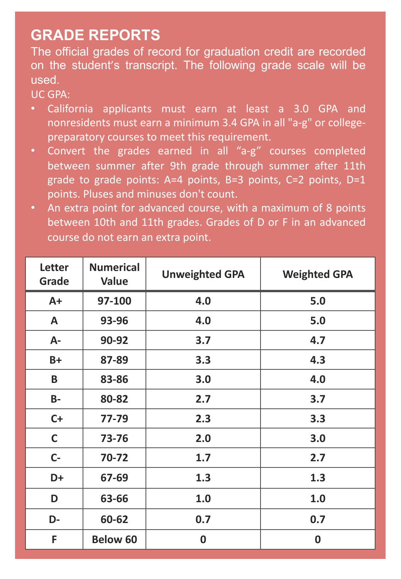#### **GRADE REPORTS**

The official grades of record for graduation credit are recorded on the student's transcript. The following grade scale will be used.

#### UC GPA:

- California applicants must earn at least a 3.0 GPA and nonresidents must earn a minimum 3.4 GPA in all "a-g" or collegepreparatory courses to meet this requirement.
- Convert the grades earned in all "a-g" courses completed between summer after 9th grade through summer after 11th grade to grade points:  $A=4$  points,  $B=3$  points,  $C=2$  points,  $D=1$ points. Pluses and minuses don't count.
- An extra point for advanced course, with a maximum of 8 points between 10th and 11th grades. Grades of D or F in an advanced course do not earn an extra point.

| <b>Letter</b><br>Grade | <b>Numerical</b><br><b>Value</b> | <b>Unweighted GPA</b> | <b>Weighted GPA</b> |
|------------------------|----------------------------------|-----------------------|---------------------|
| $A+$                   | 97-100                           | 4.0                   | 5.0                 |
| A                      | 93-96                            | 4.0                   | 5.0                 |
| $A -$                  | 90-92                            | 3.7                   | 4.7                 |
| $B+$                   | 87-89                            | 3.3                   | 4.3                 |
| B                      | 83-86                            | 3.0                   | 4.0                 |
| <b>B-</b>              | 80-82                            | 2.7                   | 3.7                 |
| $C+$                   | 77-79                            | 2.3                   | 3.3                 |
| $\mathsf{C}$           | 73-76                            | 2.0                   | 3.0                 |
| $C -$                  | 70-72                            | 1.7                   | 2.7                 |
| D+                     | 67-69                            | 1.3                   | 1.3                 |
| D                      | 63-66                            | 1.0                   | 1.0                 |
| D-                     | 60-62                            | 0.7                   | 0.7                 |
| F                      | <b>Below 60</b>                  | $\boldsymbol{0}$      | $\boldsymbol{0}$    |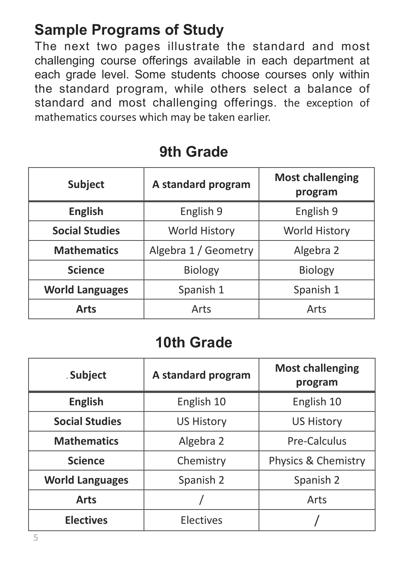## **Sample Programs of Study**

The next two pages illustrate the standard and most challenging course offerings available in each department at each grade level. Some students choose courses only within the standard program, while others select a balance of standard and most challenging offerings. the exception of mathematics courses which may be taken earlier.

| <b>Subject</b>         | A standard program   | <b>Most challenging</b><br>program |
|------------------------|----------------------|------------------------------------|
| <b>English</b>         | English 9            | English 9                          |
| <b>Social Studies</b>  | <b>World History</b> | <b>World History</b>               |
| <b>Mathematics</b>     | Algebra 1 / Geometry | Algebra 2                          |
| <b>Science</b>         | <b>Biology</b>       | <b>Biology</b>                     |
| <b>World Languages</b> | Spanish 1            | Spanish 1                          |
| <b>Arts</b>            | Arts                 | Arts                               |

#### **9th Grade**

## **10th Grade**

| . Subject              | A standard program | <b>Most challenging</b><br>program |
|------------------------|--------------------|------------------------------------|
| <b>English</b>         | English 10         | English 10                         |
| <b>Social Studies</b>  | <b>US History</b>  | <b>US History</b>                  |
| <b>Mathematics</b>     | Algebra 2          | <b>Pre-Calculus</b>                |
| <b>Science</b>         | Chemistry          | Physics & Chemistry                |
| <b>World Languages</b> | Spanish 2          | Spanish 2                          |
| <b>Arts</b>            |                    | Arts                               |
| <b>Electives</b>       | <b>Electives</b>   |                                    |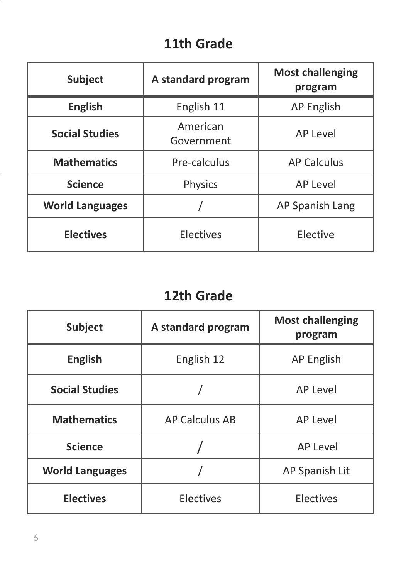#### **11th Grade**

| <b>Subject</b>         | A standard program     | <b>Most challenging</b><br>program |
|------------------------|------------------------|------------------------------------|
| <b>English</b>         | English 11             | <b>AP English</b>                  |
| <b>Social Studies</b>  | American<br>Government | <b>AP Level</b>                    |
| <b>Mathematics</b>     | Pre-calculus           | <b>AP Calculus</b>                 |
| <b>Science</b>         | <b>Physics</b>         | <b>AP Level</b>                    |
| <b>World Languages</b> |                        | <b>AP Spanish Lang</b>             |
| <b>Electives</b>       | <b>Electives</b>       | Elective                           |

## **12th Grade**

| <b>Subject</b>         | A standard program    | <b>Most challenging</b><br>program |
|------------------------|-----------------------|------------------------------------|
| <b>English</b>         | English 12            | <b>AP English</b>                  |
| <b>Social Studies</b>  |                       | <b>AP Level</b>                    |
| <b>Mathematics</b>     | <b>AP Calculus AB</b> | <b>AP Level</b>                    |
| <b>Science</b>         |                       | <b>AP Level</b>                    |
| <b>World Languages</b> |                       | AP Spanish Lit                     |
| <b>Electives</b>       | <b>Electives</b>      | <b>Electives</b>                   |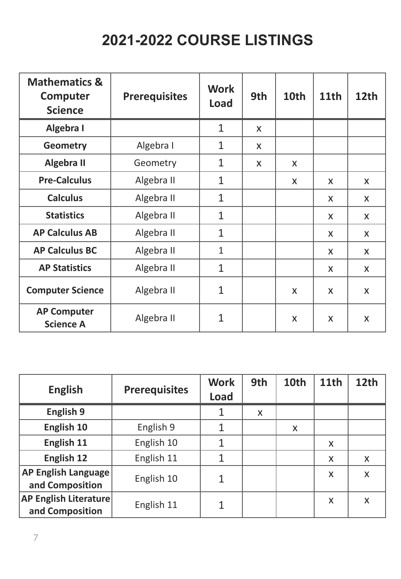## **2021-2022 COURSE LISTINGS**

| <b>Mathematics &amp;</b><br>Computer<br><b>Science</b> | <b>Prerequisites</b> | <b>Work</b><br>Load | 9th | 10th | <b>11th</b> | 12th         |
|--------------------------------------------------------|----------------------|---------------------|-----|------|-------------|--------------|
| Algebra I                                              |                      | $\mathbf{1}$        | X   |      |             |              |
| <b>Geometry</b>                                        | Algebra I            | $\mathbf 1$         | X   |      |             |              |
| <b>Algebra II</b>                                      | Geometry             | $\mathbf{1}$        | X   | X    |             |              |
| <b>Pre-Calculus</b>                                    | Algebra II           | $\mathbf{1}$        |     | X    | X           | X            |
| <b>Calculus</b>                                        | Algebra II           | $\mathbf 1$         |     |      | X           | X            |
| <b>Statistics</b>                                      | Algebra II           | $\mathbf{1}$        |     |      | X           | X            |
| <b>AP Calculus AB</b>                                  | Algebra II           | $\mathbf{1}$        |     |      | X           | X            |
| <b>AP Calculus BC</b>                                  | Algebra II           | $\mathbf{1}$        |     |      | X           | X            |
| <b>AP Statistics</b>                                   | Algebra II           | $\mathbf{1}$        |     |      | X           | X            |
| <b>Computer Science</b>                                | Algebra II           | $\mathbf{1}$        |     | X    | X           | $\mathsf{X}$ |
| <b>AP Computer</b><br><b>Science A</b>                 | Algebra II           | $\mathbf{1}$        |     | X    | X           | X            |

| <b>English</b>                                  | <b>Prerequisites</b> | <b>Work</b><br><b>Load</b> | 9th | 10th | <b>11th</b> | 12th |
|-------------------------------------------------|----------------------|----------------------------|-----|------|-------------|------|
| <b>English 9</b>                                |                      |                            | X   |      |             |      |
| English 10                                      | English 9            |                            |     | X    |             |      |
| English 11                                      | English 10           |                            |     |      | X           |      |
| English 12                                      | English 11           | 1                          |     |      | X           | X    |
| <b>AP English Language</b><br>and Composition   | English 10           | 1                          |     |      | X           | X    |
| <b>AP English Literature</b><br>and Composition | English 11           |                            |     |      | X           | X    |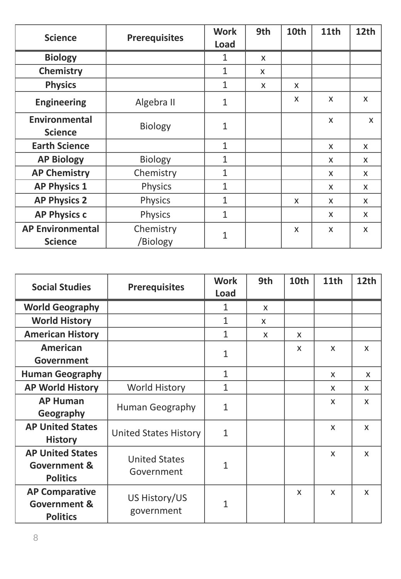| <b>Science</b>                         | <b>Prerequisites</b> | <b>Work</b><br><b>Load</b> | 9th | 10th         | 11th                      | 12th         |
|----------------------------------------|----------------------|----------------------------|-----|--------------|---------------------------|--------------|
| <b>Biology</b>                         |                      | $\mathbf{1}$               | X   |              |                           |              |
|                                        |                      |                            |     |              |                           |              |
| <b>Chemistry</b>                       |                      | $\mathbf{1}$               | X   |              |                           |              |
| <b>Physics</b>                         |                      | $\mathbf{1}$               | X   | $\mathsf{x}$ |                           |              |
| <b>Engineering</b>                     | Algebra II           | $\mathbf{1}$               |     | $\mathsf{x}$ | $\boldsymbol{\mathsf{x}}$ | $\mathsf{x}$ |
| <b>Environmental</b><br><b>Science</b> | <b>Biology</b>       | $\mathbf{1}$               |     |              | $\boldsymbol{\mathsf{X}}$ | X            |
| <b>Earth Science</b>                   |                      | $\mathbf{1}$               |     |              | X                         | X            |
| <b>AP Biology</b>                      | <b>Biology</b>       | $\mathbf{1}$               |     |              | X                         | X            |
| <b>AP Chemistry</b>                    | Chemistry            | $\mathbf{1}$               |     |              | $\boldsymbol{\mathsf{X}}$ | X            |
| <b>AP Physics 1</b>                    | Physics              | $\mathbf{1}$               |     |              | X                         | $\mathsf{x}$ |
| <b>AP Physics 2</b>                    | <b>Physics</b>       | $\mathbf{1}$               |     | X            | $\boldsymbol{\mathsf{X}}$ | X            |
| <b>AP Physics c</b>                    | Physics              | $\mathbf{1}$               |     |              | X                         | X            |
| <b>AP Environmental</b>                | Chemistry            | $\mathbf{1}$               |     | X            | $\boldsymbol{\mathsf{X}}$ | X            |
| <b>Science</b>                         | /Biology             |                            |     |              |                           |              |

| <b>Social Studies</b>                                                 | <b>Prerequisites</b>               | <b>Work</b><br>Load | 9th                       | 10th                      | 11th         | 12th                      |
|-----------------------------------------------------------------------|------------------------------------|---------------------|---------------------------|---------------------------|--------------|---------------------------|
| <b>World Geography</b>                                                |                                    | $\mathbf{1}$        | $\boldsymbol{\mathsf{X}}$ |                           |              |                           |
| <b>World History</b>                                                  |                                    | $\mathbf{1}$        | X                         |                           |              |                           |
| <b>American History</b>                                               |                                    | $\mathbf{1}$        | $\boldsymbol{\mathsf{x}}$ | $\boldsymbol{\mathsf{x}}$ |              |                           |
| <b>American</b><br>Government                                         |                                    | $\mathbf{1}$        |                           | $\boldsymbol{\mathsf{x}}$ | X            | $\mathsf{x}$              |
| <b>Human Geography</b>                                                |                                    | $\mathbf{1}$        |                           |                           | X            | X                         |
| <b>AP World History</b>                                               | <b>World History</b>               | $\mathbf{1}$        |                           |                           | X            | X                         |
| <b>AP Human</b><br>Geography                                          | <b>Human Geography</b>             | $\mathbf{1}$        |                           |                           | X            | X                         |
| <b>AP United States</b><br><b>History</b>                             | <b>United States History</b>       | $\mathbf{1}$        |                           |                           | X            | X                         |
| <b>AP United States</b><br><b>Government &amp;</b><br><b>Politics</b> | <b>United States</b><br>Government | $\mathbf{1}$        |                           |                           | $\mathsf{x}$ | X                         |
| <b>AP Comparative</b><br><b>Government &amp;</b><br><b>Politics</b>   | US History/US<br>government        | $\mathbf{1}$        |                           | $\boldsymbol{\mathsf{X}}$ | $\mathsf{x}$ | $\boldsymbol{\mathsf{x}}$ |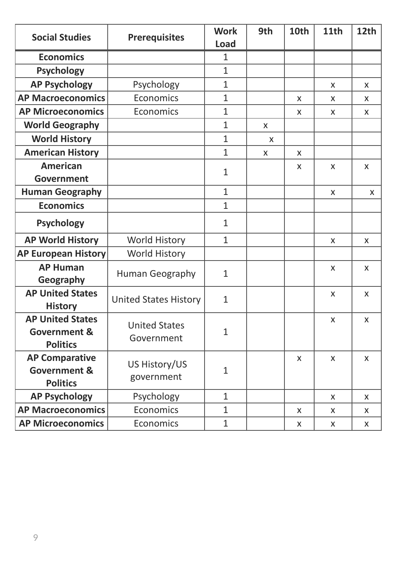| <b>Social Studies</b>                                                 | <b>Prerequisites</b>               | <b>Work</b><br><b>Load</b> | 9th                       | 10th | 11th                      | 12th         |
|-----------------------------------------------------------------------|------------------------------------|----------------------------|---------------------------|------|---------------------------|--------------|
| <b>Economics</b>                                                      |                                    | $\mathbf{1}$               |                           |      |                           |              |
| <b>Psychology</b>                                                     |                                    | $\mathbf{1}$               |                           |      |                           |              |
| <b>AP Psychology</b>                                                  | Psychology                         | $\mathbf{1}$               |                           |      | $\boldsymbol{\mathsf{X}}$ | X            |
| <b>AP Macroeconomics</b>                                              | Economics                          | $\mathbf{1}$               |                           | X    | X                         | X            |
| <b>AP Microeconomics</b>                                              | Economics                          | $\mathbf{1}$               |                           | X    | $\boldsymbol{\mathsf{X}}$ | X            |
| <b>World Geography</b>                                                |                                    | $\mathbf{1}$               | $\boldsymbol{\mathsf{X}}$ |      |                           |              |
| <b>World History</b>                                                  |                                    | $\mathbf{1}$               | X                         |      |                           |              |
| <b>American History</b>                                               |                                    | $\mathbf{1}$               | $\mathsf{x}$              | X    |                           |              |
| <b>American</b>                                                       |                                    | $\mathbf{1}$               |                           | X    | $\boldsymbol{\mathsf{X}}$ | X            |
| Government                                                            |                                    |                            |                           |      |                           |              |
| <b>Human Geography</b>                                                |                                    | $\mathbf{1}$               |                           |      | $\boldsymbol{\mathsf{X}}$ | X            |
| <b>Economics</b>                                                      |                                    | $\mathbf{1}$               |                           |      |                           |              |
| <b>Psychology</b>                                                     |                                    | $\mathbf{1}$               |                           |      |                           |              |
| <b>AP World History</b>                                               | <b>World History</b>               | $\mathbf{1}$               |                           |      | $\boldsymbol{\mathsf{X}}$ | X            |
| <b>AP European History</b>                                            | <b>World History</b>               |                            |                           |      |                           |              |
| <b>AP Human</b><br>Geography                                          | Human Geography                    | $\mathbf{1}$               |                           |      | $\boldsymbol{\mathsf{X}}$ | X            |
| <b>AP United States</b><br><b>History</b>                             | <b>United States History</b>       | $\mathbf{1}$               |                           |      | $\boldsymbol{\mathsf{X}}$ | X            |
| <b>AP United States</b><br><b>Government &amp;</b><br><b>Politics</b> | <b>United States</b><br>Government | $\mathbf{1}$               |                           |      | $\boldsymbol{\mathsf{X}}$ | $\mathsf{x}$ |
| <b>AP Comparative</b><br><b>Government &amp;</b><br><b>Politics</b>   | US History/US<br>government        | $\mathbf{1}$               |                           | X    | X                         | X            |
| <b>AP Psychology</b>                                                  | Psychology                         | $\mathbf{1}$               |                           |      | X                         | X            |
| <b>AP Macroeconomics</b>                                              | Economics                          | $\mathbf{1}$               |                           | X    | X                         | X            |
| <b>AP Microeconomics</b>                                              | Economics                          | $\mathbf{1}$               |                           | X    | X                         | X            |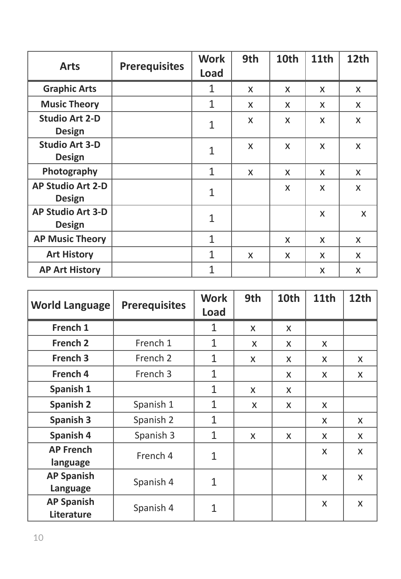| <b>Arts</b>                               | <b>Prerequisites</b> | <b>Work</b><br>Load | 9th          | 10th         | 11th         | 12th |
|-------------------------------------------|----------------------|---------------------|--------------|--------------|--------------|------|
| <b>Graphic Arts</b>                       |                      | 1                   |              |              |              |      |
|                                           |                      |                     | X            | $\mathsf{X}$ | X            | X    |
| <b>Music Theory</b>                       |                      | $\mathbf 1$         | X            | $\mathsf{X}$ | X            | X    |
| <b>Studio Art 2-D</b>                     |                      | 1                   | $\mathsf{X}$ | $\mathsf{X}$ | $\mathsf{x}$ | X    |
| <b>Design</b>                             |                      |                     |              |              |              |      |
| <b>Studio Art 3-D</b>                     |                      | $\mathbf{1}$        | X            | X            | X            | X    |
| <b>Design</b>                             |                      |                     |              |              |              |      |
| Photography                               |                      | $\mathbf{1}$        | X            | $\mathsf{X}$ | X            | X    |
| <b>AP Studio Art 2-D</b><br><b>Design</b> |                      | $\mathbf{1}$        |              | X            | X            | X    |
| <b>AP Studio Art 3-D</b><br><b>Design</b> |                      | $\mathbf 1$         |              |              | X            | X    |
| <b>AP Music Theory</b>                    |                      | $\mathbf{1}$        |              | X            | X            | X    |
| <b>Art History</b>                        |                      | 1                   | X            | X            | X            | X    |
| <b>AP Art History</b>                     |                      | $\mathbf{1}$        |              |              | X            | X    |

| <b>World Language</b>           | <b>Prerequisites</b> | <b>Work</b><br><b>Load</b> | 9th | 10th | <b>11th</b>  | 12th |
|---------------------------------|----------------------|----------------------------|-----|------|--------------|------|
| French 1                        |                      | $\mathbf{1}$               | X   | X    |              |      |
| <b>French 2</b>                 | French 1             | $\mathbf{1}$               | X   | X    | $\mathsf{X}$ |      |
| French 3                        | French 2             | $\mathbf{1}$               | X   | X    | X            | X    |
| French 4                        | French 3             | $\mathbf{1}$               |     | X    | X            | X    |
| Spanish 1                       |                      | $\mathbf{1}$               | X   | X    |              |      |
| <b>Spanish 2</b>                | Spanish 1            | 1                          | X   | X    | X            |      |
| <b>Spanish 3</b>                | Spanish 2            | $\mathbf{1}$               |     |      | X            | X    |
| Spanish 4                       | Spanish 3            | $\mathbf{1}$               | X   | X    | $\mathsf{X}$ | X    |
| <b>AP French</b><br>language    | French 4             | $\mathbf 1$                |     |      | X            | X    |
| <b>AP Spanish</b><br>Language   | Spanish 4            | $\mathbf{1}$               |     |      | X            | X    |
| <b>AP Spanish</b><br>Literature | Spanish 4            | $\mathbf{1}$               |     |      | $\mathsf{X}$ | X    |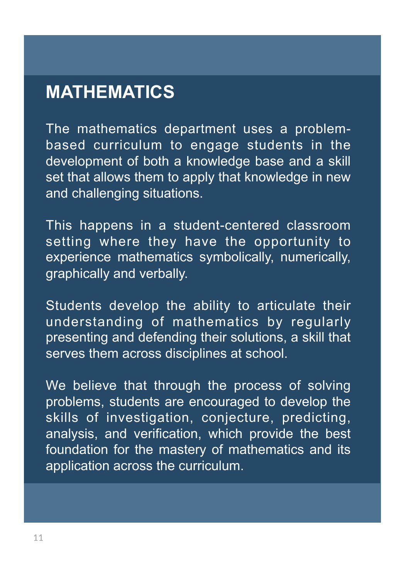## **MATHEMATICS**

The mathematics department uses a problembased curriculum to engage students in the development of both a knowledge base and a skill set that allows them to apply that knowledge in new and challenging situations.

This happens in a student-centered classroom setting where they have the opportunity to experience mathematics symbolically, numerically, graphically and verbally.

Students develop the ability to articulate their understanding of mathematics by regularly presenting and defending their solutions, a skill that serves them across disciplines at school.

We believe that through the process of solving problems, students are encouraged to develop the skills of investigation, conjecture, predicting, analysis, and verification, which provide the best foundation for the mastery of mathematics and its application across the curriculum.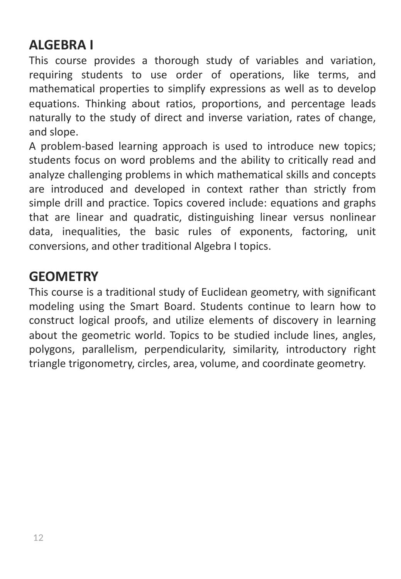## **ALGEBRA I**

This course provides a thorough study of variables and variation, requiring students to use order of operations, like terms, and mathematical properties to simplify expressions as well as to develop equations. Thinking about ratios, proportions, and percentage leads naturally to the study of direct and inverse variation, rates of change, and slope.

A problem-based learning approach is used to introduce new topics; students focus on word problems and the ability to critically read and analyze challenging problems in which mathematical skills and concepts are introduced and developed in context rather than strictly from simple drill and practice. Topics covered include: equations and graphs that are linear and quadratic, distinguishing linear versus nonlinear data, inequalities, the basic rules of exponents, factoring, unit conversions, and other traditional Algebra I topics.

#### **GEOMETRY**

This course is a traditional study of Euclidean geometry, with significant modeling using the Smart Board. Students continue to learn how to construct logical proofs, and utilize elements of discovery in learning about the geometric world. Topics to be studied include lines, angles, polygons, parallelism, perpendicularity, similarity, introductory right triangle trigonometry, circles, area, volume, and coordinate geometry.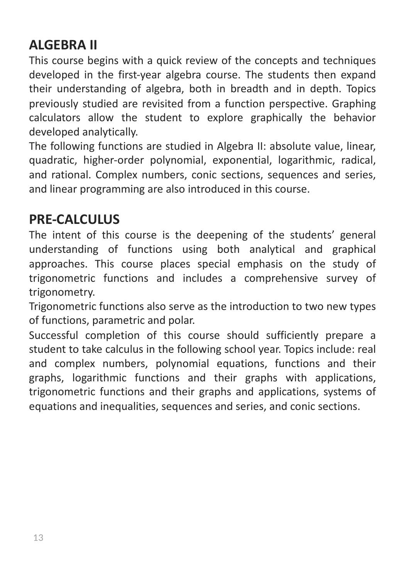## **ALGEBRA II**

This course begins with a quick review of the concepts and techniques developed in the first-year algebra course. The students then expand their understanding of algebra, both in breadth and in depth. Topics previously studied are revisited from a function perspective. Graphing calculators allow the student to explore graphically the behavior developed analytically.

The following functions are studied in Algebra II: absolute value, linear, quadratic, higher-order polynomial, exponential, logarithmic, radical, and rational. Complex numbers, conic sections, sequences and series, and linear programming are also introduced in this course.

#### **PRE-CALCULUS**

The intent of this course is the deepening of the students' general understanding of functions using both analytical and graphical approaches. This course places special emphasis on the study of trigonometric functions and includes a comprehensive survey of trigonometry.

Trigonometric functions also serve as the introduction to two new types of functions, parametric and polar.

Successful completion of this course should sufficiently prepare a student to take calculus in the following school year. Topics include: real and complex numbers, polynomial equations, functions and their graphs, logarithmic functions and their graphs with applications, trigonometric functions and their graphs and applications, systems of equations and inequalities, sequences and series, and conic sections.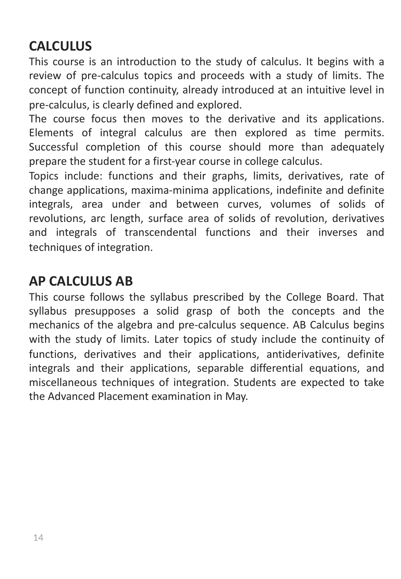## **CALCULUS**

This course is an introduction to the study of calculus. It begins with a review of pre-calculus topics and proceeds with a study of limits. The concept of function continuity, already introduced at an intuitive level in pre-calculus, is clearly defined and explored.

The course focus then moves to the derivative and its applications. Elements of integral calculus are then explored as time permits. Successful completion of this course should more than adequately prepare the student for a first-year course in college calculus.

Topics include: functions and their graphs, limits, derivatives, rate of change applications, maxima-minima applications, indefinite and definite integrals, area under and between curves, volumes of solids of revolutions, arc length, surface area of solids of revolution, derivatives and integrals of transcendental functions and their inverses and techniques of integration.

#### **AP CALCULUS AB**

This course follows the syllabus prescribed by the College Board. That syllabus presupposes a solid grasp of both the concepts and the mechanics of the algebra and pre-calculus sequence. AB Calculus begins with the study of limits. Later topics of study include the continuity of functions, derivatives and their applications, antiderivatives, definite integrals and their applications, separable differential equations, and miscellaneous techniques of integration. Students are expected to take the Advanced Placement examination in May.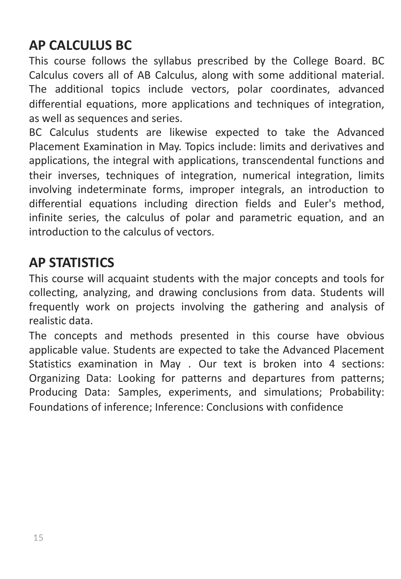#### **AP CALCULUS BC**

This course follows the syllabus prescribed by the College Board. BC Calculus covers all of AB Calculus, along with some additional material. The additional topics include vectors, polar coordinates, advanced differential equations, more applications and techniques of integration, as well as sequences and series.

BC Calculus students are likewise expected to take the Advanced Placement Examination in May. Topics include: limits and derivatives and applications, the integral with applications, transcendental functions and their inverses, techniques of integration, numerical integration, limits involving indeterminate forms, improper integrals, an introduction to differential equations including direction fields and Euler's method, infinite series, the calculus of polar and parametric equation, and an introduction to the calculus of vectors.

#### **AP STATISTICS**

This course will acquaint students with the major concepts and tools for collecting, analyzing, and drawing conclusions from data. Students will frequently work on projects involving the gathering and analysis of realistic data.

The concepts and methods presented in this course have obvious applicable value. Students are expected to take the Advanced Placement Statistics examination in May . Our text is broken into 4 sections: Organizing Data: Looking for patterns and departures from patterns; Producing Data: Samples, experiments, and simulations; Probability: Foundations of inference; Inference: Conclusions with confidence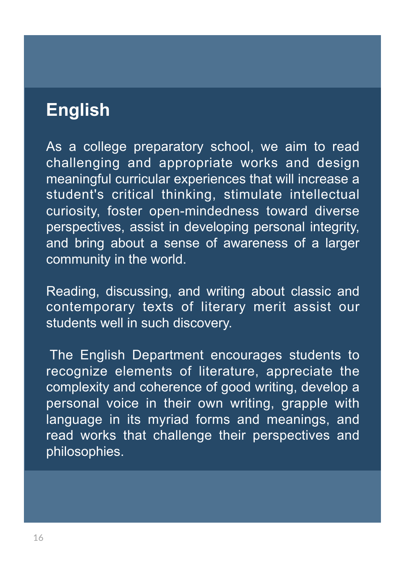# **English**

As a college preparatory school, we aim to read challenging and appropriate works and design meaningful curricular experiences that will increase a student's critical thinking, stimulate intellectual curiosity, foster open-mindedness toward diverse perspectives, assist in developing personal integrity, and bring about a sense of awareness of a larger community in the world.

Reading, discussing, and writing about classic and contemporary texts of literary merit assist our students well in such discovery.

The English Department encourages students to recognize elements of literature, appreciate the complexity and coherence of good writing, develop a personal voice in their own writing, grapple with language in its myriad forms and meanings, and read works that challenge their perspectives and philosophies.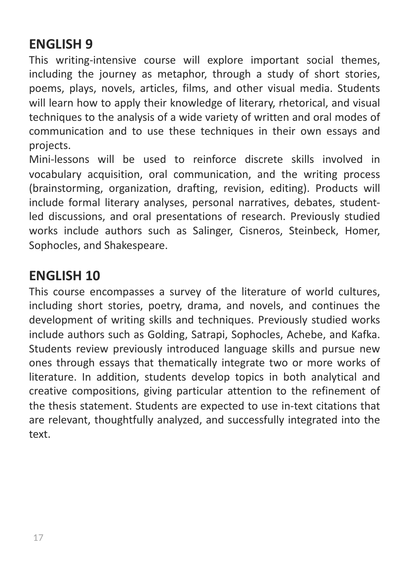#### **ENGLISH 9**

This writing-intensive course will explore important social themes, including the journey as metaphor, through a study of short stories, poems, plays, novels, articles, films, and other visual media. Students will learn how to apply their knowledge of literary, rhetorical, and visual techniques to the analysis of a wide variety of written and oral modes of communication and to use these techniques in their own essays and projects.

Mini-lessons will be used to reinforce discrete skills involved in vocabulary acquisition, oral communication, and the writing process (brainstorming, organization, drafting, revision, editing). Products will include formal literary analyses, personal narratives, debates, studentled discussions, and oral presentations of research. Previously studied works include authors such as Salinger, Cisneros, Steinbeck, Homer, Sophocles, and Shakespeare.

#### **ENGLISH 10**

This course encompasses a survey of the literature of world cultures, including short stories, poetry, drama, and novels, and continues the development of writing skills and techniques. Previously studied works include authors such as Golding, Satrapi, Sophocles, Achebe, and Kafka. Students review previously introduced language skills and pursue new ones through essays that thematically integrate two or more works of literature. In addition, students develop topics in both analytical and creative compositions, giving particular attention to the refinement of the thesis statement. Students are expected to use in-text citations that are relevant, thoughtfully analyzed, and successfully integrated into the text.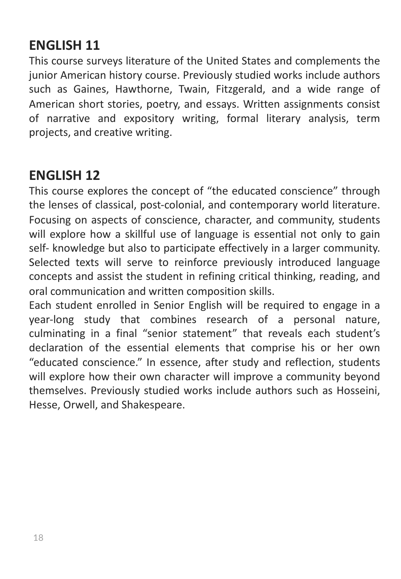#### **ENGLISH 11**

This course surveys literature of the United States and complements the junior American history course. Previously studied works include authors such as Gaines, Hawthorne, Twain, Fitzgerald, and a wide range of American short stories, poetry, and essays. Written assignments consist of narrative and expository writing, formal literary analysis, term projects, and creative writing.

#### **ENGLISH 12**

This course explores the concept of "the educated conscience" through the lenses of classical, post-colonial, and contemporary world literature. Focusing on aspects of conscience, character, and community, students will explore how a skillful use of language is essential not only to gain self- knowledge but also to participate effectively in a larger community. Selected texts will serve to reinforce previously introduced language concepts and assist the student in refining critical thinking, reading, and oral communication and written composition skills.

Each student enrolled in Senior English will be required to engage in a year-long study that combines research of a personal nature, culminating in a final "senior statement" that reveals each student's declaration of the essential elements that comprise his or her own "educated conscience." In essence, after study and reflection, students will explore how their own character will improve a community beyond themselves. Previously studied works include authors such as Hosseini, Hesse, Orwell, and Shakespeare.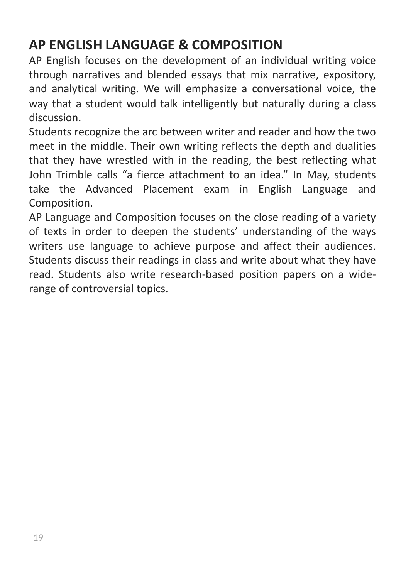## **AP ENGLISH LANGUAGE & COMPOSITION**

AP English focuses on the development of an individual writing voice through narratives and blended essays that mix narrative, expository, and analytical writing. We will emphasize a conversational voice, the way that a student would talk intelligently but naturally during a class discussion.

Students recognize the arc between writer and reader and how the two meet in the middle. Their own writing reflects the depth and dualities that they have wrestled with in the reading, the best reflecting what John Trimble calls "a fierce attachment to an idea." In May, students take the Advanced Placement exam in English Language and Composition.

AP Language and Composition focuses on the close reading of a variety of texts in order to deepen the students' understanding of the ways writers use language to achieve purpose and affect their audiences. Students discuss their readings in class and write about what they have read. Students also write research-based position papers on a widerange of controversial topics.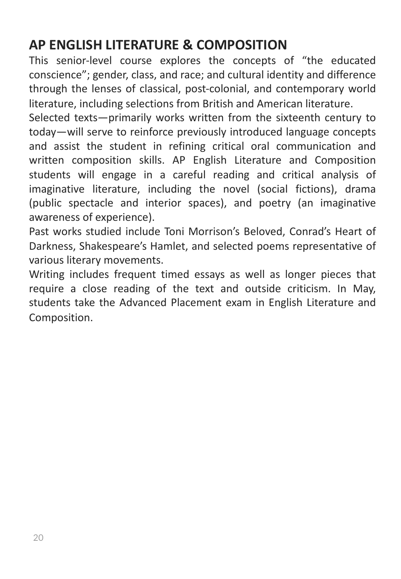## **AP ENGLISH LITERATURE & COMPOSITION**

This senior-level course explores the concepts of "the educated conscience"; gender, class, and race; and cultural identity and difference through the lenses of classical, post-colonial, and contemporary world literature, including selections from British and American literature.

Selected texts—primarily works written from the sixteenth century to today—will serve to reinforce previously introduced language concepts and assist the student in refining critical oral communication and written composition skills. AP English Literature and Composition students will engage in a careful reading and critical analysis of imaginative literature, including the novel (social fictions), drama (public spectacle and interior spaces), and poetry (an imaginative awareness of experience).

Past works studied include Toni Morrison's Beloved, Conrad's Heart of Darkness, Shakespeare's Hamlet, and selected poems representative of various literary movements.

Writing includes frequent timed essays as well as longer pieces that require a close reading of the text and outside criticism. In May, students take the Advanced Placement exam in English Literature and Composition.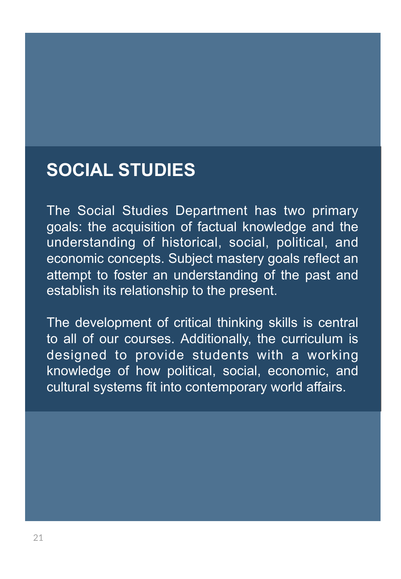# **SOCIAL STUDIES**

The Social Studies Department has two primary goals: the acquisition of factual knowledge and the understanding of historical, social, political, and economic concepts. Subject mastery goals reflect an attempt to foster an understanding of the past and establish its relationship to the present.

The development of critical thinking skills is central to all of our courses. Additionally, the curriculum is designed to provide students with a working knowledge of how political, social, economic, and cultural systems fit into contemporary world affairs.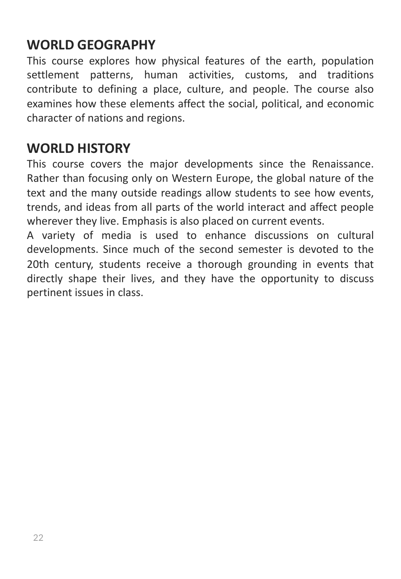#### **WORLD GEOGRAPHY**

This course explores how physical features of the earth, population settlement patterns, human activities, customs, and traditions contribute to defining a place, culture, and people. The course also examines how these elements affect the social, political, and economic character of nations and regions.

#### **WORLD HISTORY**

This course covers the major developments since the Renaissance. Rather than focusing only on Western Europe, the global nature of the text and the many outside readings allow students to see how events, trends, and ideas from all parts of the world interact and affect people wherever they live. Emphasis is also placed on current events.

A variety of media is used to enhance discussions on cultural developments. Since much of the second semester is devoted to the 20th century, students receive a thorough grounding in events that directly shape their lives, and they have the opportunity to discuss pertinent issues in class.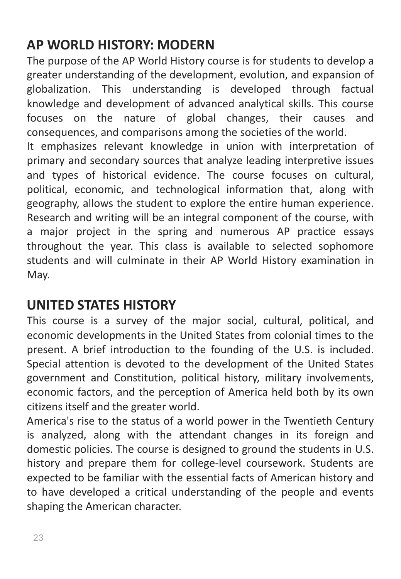## **AP WORLD HISTORY: MODERN**

The purpose of the AP World History course is for students to develop a greater understanding of the development, evolution, and expansion of globalization. This understanding is developed through factual knowledge and development of advanced analytical skills. This course focuses on the nature of global changes, their causes and consequences, and comparisons among the societies of the world.

It emphasizes relevant knowledge in union with interpretation of primary and secondary sources that analyze leading interpretive issues and types of historical evidence. The course focuses on cultural, political, economic, and technological information that, along with geography, allows the student to explore the entire human experience. Research and writing will be an integral component of the course, with a major project in the spring and numerous AP practice essays throughout the year. This class is available to selected sophomore students and will culminate in their AP World History examination in May.

## **UNITED STATES HISTORY**

This course is a survey of the major social, cultural, political, and economic developments in the United States from colonial times to the present. A brief introduction to the founding of the U.S. is included. Special attention is devoted to the development of the United States government and Constitution, political history, military involvements, economic factors, and the perception of America held both by its own citizens itself and the greater world.

America's rise to the status of a world power in the Twentieth Century is analyzed, along with the attendant changes in its foreign and domestic policies. The course is designed to ground the students in U.S. history and prepare them for college-level coursework. Students are expected to be familiar with the essential facts of American history and to have developed a critical understanding of the people and events shaping the American character.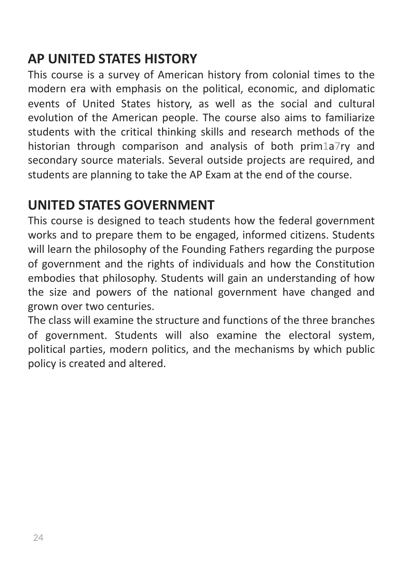#### **AP UNITED STATES HISTORY**

This course is a survey of American history from colonial times to the modern era with emphasis on the political, economic, and diplomatic events of United States history, as well as the social and cultural evolution of the American people. The course also aims to familiarize students with the critical thinking skills and research methods of the historian through comparison and analysis of both prim1a7ry and secondary source materials. Several outside projects are required, and students are planning to take the AP Exam at the end of the course.

#### **UNITED STATES GOVERNMENT**

This course is designed to teach students how the federal government works and to prepare them to be engaged, informed citizens. Students will learn the philosophy of the Founding Fathers regarding the purpose of government and the rights of individuals and how the Constitution embodies that philosophy. Students will gain an understanding of how the size and powers of the national government have changed and grown over two centuries.

The class will examine the structure and functions of the three branches of government. Students will also examine the electoral system, political parties, modern politics, and the mechanisms by which public policy is created and altered.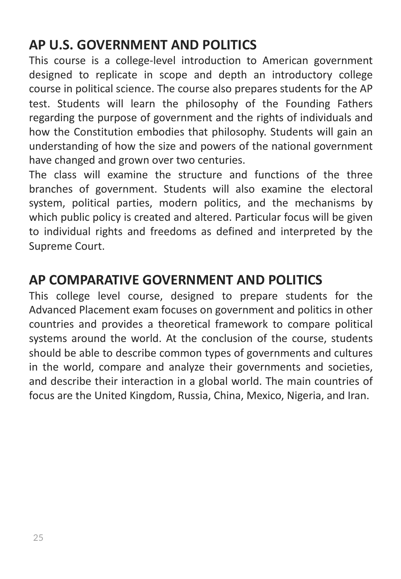## **AP U.S. GOVERNMENT AND POLITICS**

This course is a college-level introduction to American government designed to replicate in scope and depth an introductory college course in political science. The course also prepares students for the AP test. Students will learn the philosophy of the Founding Fathers regarding the purpose of government and the rights of individuals and how the Constitution embodies that philosophy. Students will gain an understanding of how the size and powers of the national government have changed and grown over two centuries.

The class will examine the structure and functions of the three branches of government. Students will also examine the electoral system, political parties, modern politics, and the mechanisms by which public policy is created and altered. Particular focus will be given to individual rights and freedoms as defined and interpreted by the Supreme Court.

#### **AP COMPARATIVE GOVERNMENT AND POLITICS**

This college level course, designed to prepare students for the Advanced Placement exam focuses on government and politics in other countries and provides a theoretical framework to compare political systems around the world. At the conclusion of the course, students should be able to describe common types of governments and cultures in the world, compare and analyze their governments and societies, and describe their interaction in a global world. The main countries of focus are the United Kingdom, Russia, China, Mexico, Nigeria, and Iran.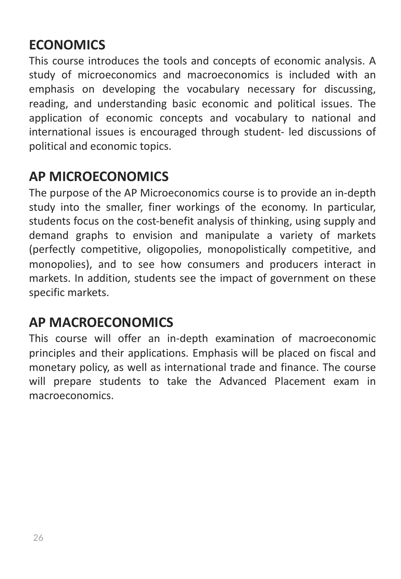## **ECONOMICS**

This course introduces the tools and concepts of economic analysis. A study of microeconomics and macroeconomics is included with an emphasis on developing the vocabulary necessary for discussing, reading, and understanding basic economic and political issues. The application of economic concepts and vocabulary to national and international issues is encouraged through student- led discussions of political and economic topics.

#### **AP MICROECONOMICS**

The purpose of the AP Microeconomics course is to provide an in-depth study into the smaller, finer workings of the economy. In particular, students focus on the cost-benefit analysis of thinking, using supply and demand graphs to envision and manipulate a variety of markets (perfectly competitive, oligopolies, monopolistically competitive, and monopolies), and to see how consumers and producers interact in markets. In addition, students see the impact of government on these specific markets.

#### **AP MACROECONOMICS**

This course will offer an in-depth examination of macroeconomic principles and their applications. Emphasis will be placed on fiscal and monetary policy, as well as international trade and finance. The course will prepare students to take the Advanced Placement exam in macroeconomics.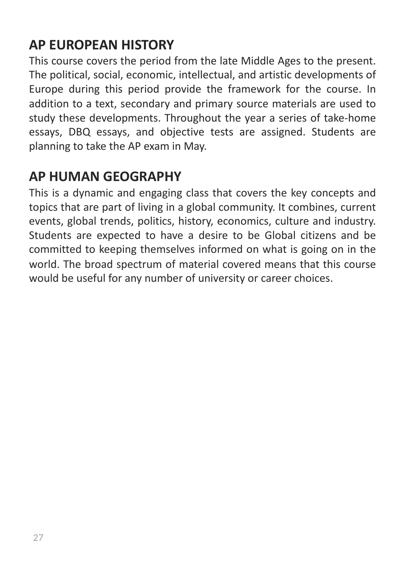## **AP EUROPEAN HISTORY**

This course covers the period from the late Middle Ages to the present. The political, social, economic, intellectual, and artistic developments of Europe during this period provide the framework for the course. In addition to a text, secondary and primary source materials are used to study these developments. Throughout the year a series of take-home essays, DBQ essays, and objective tests are assigned. Students are planning to take the AP exam in May.

#### **AP HUMAN GEOGRAPHY**

This is a dynamic and engaging class that covers the key concepts and topics that are part of living in a global community. It combines, current events, global trends, politics, history, economics, culture and industry. Students are expected to have a desire to be Global citizens and be committed to keeping themselves informed on what is going on in the world. The broad spectrum of material covered means that this course would be useful for any number of university or career choices.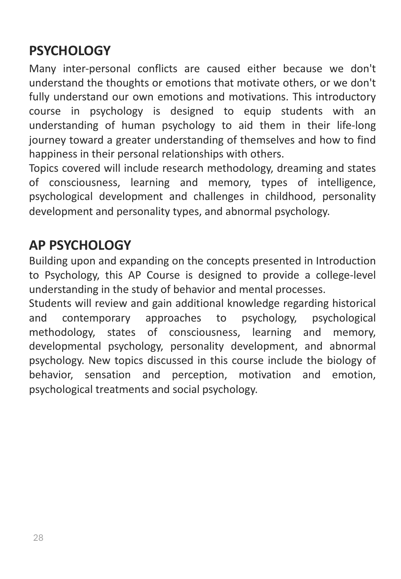## **PSYCHOLOGY**

Many inter-personal conflicts are caused either because we don't understand the thoughts or emotions that motivate others, or we don't fully understand our own emotions and motivations. This introductory course in psychology is designed to equip students with an understanding of human psychology to aid them in their life-long journey toward a greater understanding of themselves and how to find happiness in their personal relationships with others.

Topics covered will include research methodology, dreaming and states of consciousness, learning and memory, types of intelligence, psychological development and challenges in childhood, personality development and personality types, and abnormal psychology.

#### **AP PSYCHOLOGY**

Building upon and expanding on the concepts presented in Introduction to Psychology, this AP Course is designed to provide a college-level understanding in the study of behavior and mental processes.

Students will review and gain additional knowledge regarding historical and contemporary approaches to psychology, psychological methodology, states of consciousness, learning and memory, developmental psychology, personality development, and abnormal psychology. New topics discussed in this course include the biology of behavior, sensation and perception, motivation and emotion, psychological treatments and social psychology.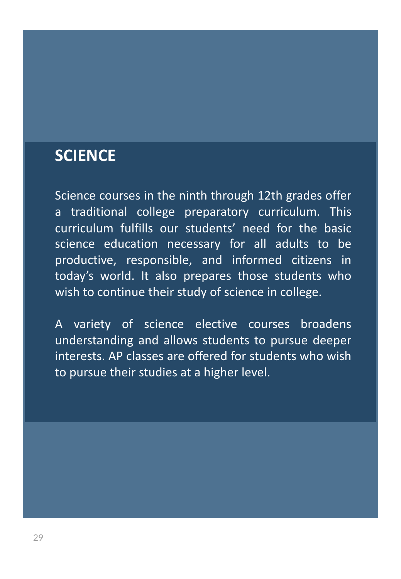## **SCIENCE**

Science courses in the ninth through 12th grades offer a traditional college preparatory curriculum. This curriculum fulfills our students' need for the basic science education necessary for all adults to be productive, responsible, and informed citizens in today's world. It also prepares those students who wish to continue their study of science in college.

A variety of science elective courses broadens understanding and allows students to pursue deeper interests. AP classes are offered for students who wish to pursue their studies at a higher level.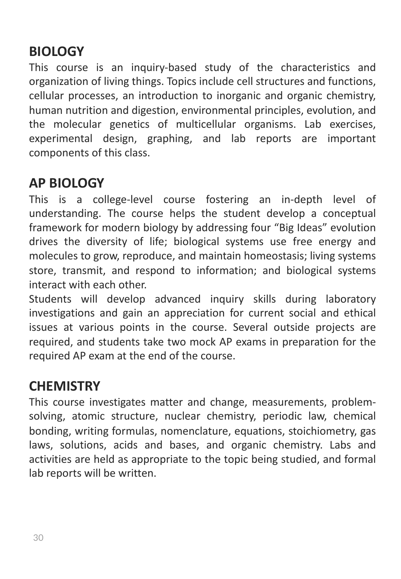## **BIOLOGY**

This course is an inquiry-based study of the characteristics and organization of living things. Topics include cell structures and functions, cellular processes, an introduction to inorganic and organic chemistry, human nutrition and digestion, environmental principles, evolution, and the molecular genetics of multicellular organisms. Lab exercises, experimental design, graphing, and lab reports are important components of this class.

#### **AP BIOLOGY**

This is a college-level course fostering an in-depth level of understanding. The course helps the student develop a conceptual framework for modern biology by addressing four "Big Ideas" evolution drives the diversity of life; biological systems use free energy and molecules to grow, reproduce, and maintain homeostasis; living systems store, transmit, and respond to information; and biological systems interact with each other.

Students will develop advanced inquiry skills during laboratory investigations and gain an appreciation for current social and ethical issues at various points in the course. Several outside projects are required, and students take two mock AP exams in preparation for the required AP exam at the end of the course.

#### **CHEMISTRY**

This course investigates matter and change, measurements, problemsolving, atomic structure, nuclear chemistry, periodic law, chemical bonding, writing formulas, nomenclature, equations, stoichiometry, gas laws, solutions, acids and bases, and organic chemistry. Labs and activities are held as appropriate to the topic being studied, and formal lab reports will be written.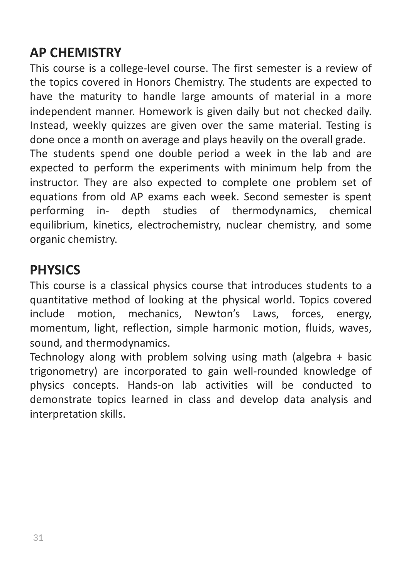## **AP CHEMISTRY**

This course is a college-level course. The first semester is a review of the topics covered in Honors Chemistry. The students are expected to have the maturity to handle large amounts of material in a more independent manner. Homework is given daily but not checked daily. Instead, weekly quizzes are given over the same material. Testing is done once a month on average and plays heavily on the overall grade. The students spend one double period a week in the lab and are expected to perform the experiments with minimum help from the instructor. They are also expected to complete one problem set of equations from old AP exams each week. Second semester is spent

performing in- depth studies of thermodynamics, chemical equilibrium, kinetics, electrochemistry, nuclear chemistry, and some organic chemistry.

#### **PHYSICS**

This course is a classical physics course that introduces students to a quantitative method of looking at the physical world. Topics covered include motion, mechanics, Newton's Laws, forces, energy, momentum, light, reflection, simple harmonic motion, fluids, waves, sound, and thermodynamics.

Technology along with problem solving using math (algebra + basic trigonometry) are incorporated to gain well-rounded knowledge of physics concepts. Hands-on lab activities will be conducted to demonstrate topics learned in class and develop data analysis and interpretation skills.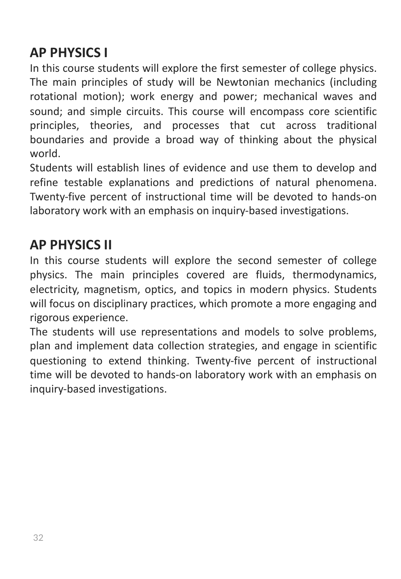## **AP PHYSICS I**

In this course students will explore the first semester of college physics. The main principles of study will be Newtonian mechanics (including rotational motion); work energy and power; mechanical waves and sound; and simple circuits. This course will encompass core scientific principles, theories, and processes that cut across traditional boundaries and provide a broad way of thinking about the physical world.

Students will establish lines of evidence and use them to develop and refine testable explanations and predictions of natural phenomena. Twenty-five percent of instructional time will be devoted to hands-on laboratory work with an emphasis on inquiry-based investigations.

#### **AP PHYSICS II**

In this course students will explore the second semester of college physics. The main principles covered are fluids, thermodynamics, electricity, magnetism, optics, and topics in modern physics. Students will focus on disciplinary practices, which promote a more engaging and rigorous experience.

The students will use representations and models to solve problems, plan and implement data collection strategies, and engage in scientific questioning to extend thinking. Twenty-five percent of instructional time will be devoted to hands-on laboratory work with an emphasis on inquiry-based investigations.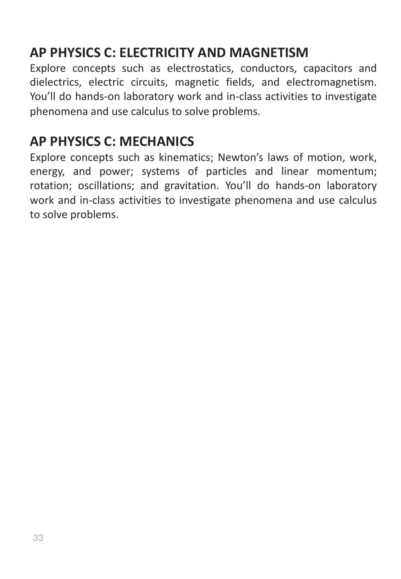## **AP PHYSICS C: ELECTRICITY AND MAGNETISM**

Explore concepts such as electrostatics, conductors, capacitors and dielectrics, electric circuits, magnetic fields, and electromagnetism. You'll do hands-on laboratory work and in-class activities to investigate phenomena and use calculus to solve problems.

#### **AP PHYSICS C: MECHANICS**

Explore concepts such as kinematics; Newton's laws of motion, work, energy, and power; systems of particles and linear momentum; rotation; oscillations; and gravitation. You'll do hands-on laboratory work and in-class activities to investigate phenomena and use calculus to solve problems.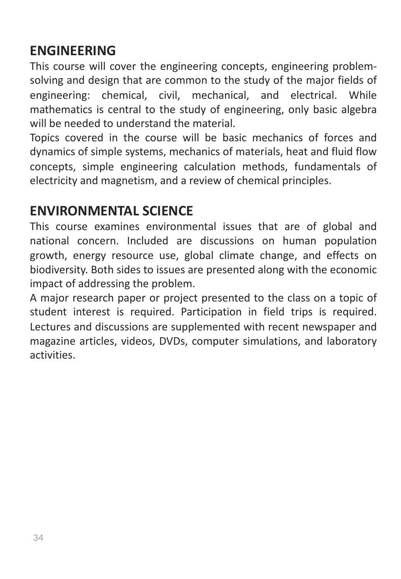#### **ENGINEERING**

This course will cover the engineering concepts, engineering problemsolving and design that are common to the study of the major fields of engineering: chemical, civil, mechanical, and electrical. While mathematics is central to the study of engineering, only basic algebra will be needed to understand the material.

Topics covered in the course will be basic mechanics of forces and dynamics of simple systems, mechanics of materials, heat and fluid flow concepts, simple engineering calculation methods, fundamentals of electricity and magnetism, and a review of chemical principles.

#### **ENVIRONMENTAL SCIENCE**

This course examines environmental issues that are of global and national concern. Included are discussions on human population growth, energy resource use, global climate change, and effects on biodiversity. Both sides to issues are presented along with the economic impact of addressing the problem.

A major research paper or project presented to the class on a topic of student interest is required. Participation in field trips is required. Lectures and discussions are supplemented with recent newspaper and magazine articles, videos, DVDs, computer simulations, and laboratory activities.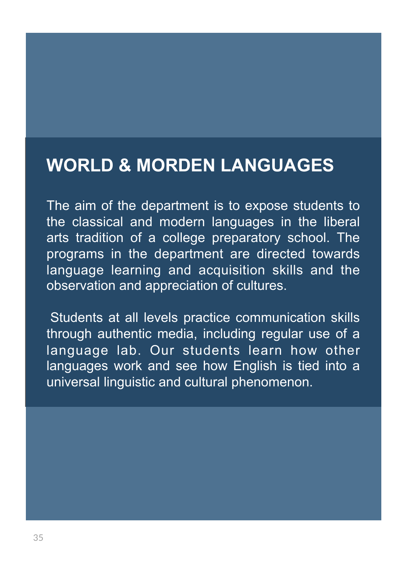# **WORLD & MORDEN LANGUAGES**

The aim of the department is to expose students to the classical and modern languages in the liberal arts tradition of a college preparatory school. The programs in the department are directed towards language learning and acquisition skills and the observation and appreciation of cultures.

Students at all levels practice communication skills through authentic media, including regular use of a language lab. Our students learn how other languages work and see how English is tied into a universal linguistic and cultural phenomenon.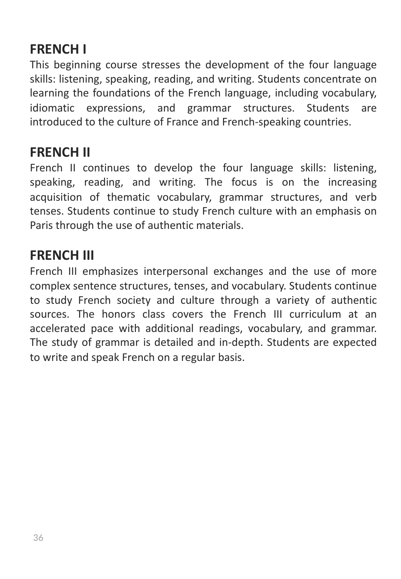#### **FRENCH I**

This beginning course stresses the development of the four language skills: listening, speaking, reading, and writing. Students concentrate on learning the foundations of the French language, including vocabulary, idiomatic expressions, and grammar structures. Students are introduced to the culture of France and French-speaking countries.

#### **FRENCH II**

French II continues to develop the four language skills: listening, speaking, reading, and writing. The focus is on the increasing acquisition of thematic vocabulary, grammar structures, and verb tenses. Students continue to study French culture with an emphasis on Paris through the use of authentic materials.

#### **FRENCH III**

French III emphasizes interpersonal exchanges and the use of more complex sentence structures, tenses, and vocabulary. Students continue to study French society and culture through a variety of authentic sources. The honors class covers the French III curriculum at an accelerated pace with additional readings, vocabulary, and grammar. The study of grammar is detailed and in-depth. Students are expected to write and speak French on a regular basis.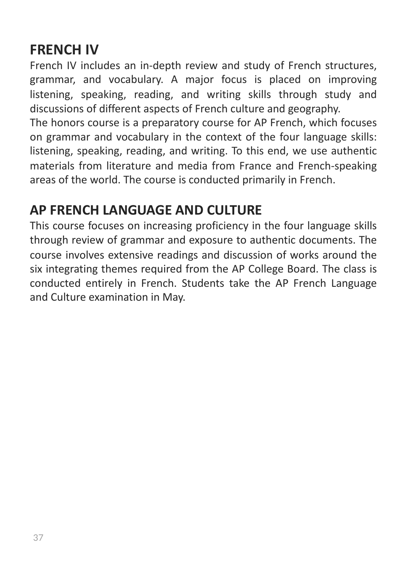## **FRENCH IV**

French IV includes an in-depth review and study of French structures, grammar, and vocabulary. A major focus is placed on improving listening, speaking, reading, and writing skills through study and discussions of different aspects of French culture and geography.

The honors course is a preparatory course for AP French, which focuses on grammar and vocabulary in the context of the four language skills: listening, speaking, reading, and writing. To this end, we use authentic materials from literature and media from France and French-speaking areas of the world. The course is conducted primarily in French.

## **AP FRENCH LANGUAGE AND CULTURE**

This course focuses on increasing proficiency in the four language skills through review of grammar and exposure to authentic documents. The course involves extensive readings and discussion of works around the six integrating themes required from the AP College Board. The class is conducted entirely in French. Students take the AP French Language and Culture examination in May.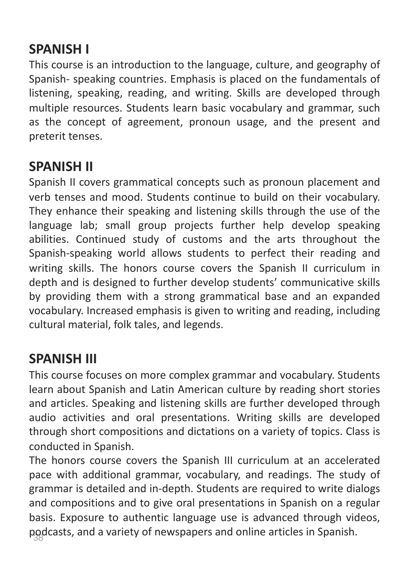## **SPANISH I**

This course is an introduction to the language, culture, and geography of Spanish- speaking countries. Emphasis is placed on the fundamentals of listening, speaking, reading, and writing. Skills are developed through multiple resources. Students learn basic vocabulary and grammar, such as the concept of agreement, pronoun usage, and the present and preterit tenses.

#### **SPANISH II**

Spanish II covers grammatical concepts such as pronoun placement and verb tenses and mood. Students continue to build on their vocabulary. They enhance their speaking and listening skills through the use of the language lab; small group projects further help develop speaking abilities. Continued study of customs and the arts throughout the Spanish-speaking world allows students to perfect their reading and writing skills. The honors course covers the Spanish II curriculum in depth and is designed to further develop students' communicative skills by providing them with a strong grammatical base and an expanded vocabulary. Increased emphasis is given to writing and reading, including cultural material, folk tales, and legends.

#### **SPANISH III**

This course focuses on more complex grammar and vocabulary. Students learn about Spanish and Latin American culture by reading short stories and articles. Speaking and listening skills are further developed through audio activities and oral presentations. Writing skills are developed through short compositions and dictations on a variety of topics. Class is conducted in Spanish.

podcasts, and a variety of newspapers and online articles in Spanish. The honors course covers the Spanish III curriculum at an accelerated pace with additional grammar, vocabulary, and readings. The study of grammar is detailed and in-depth. Students are required to write dialogs and compositions and to give oral presentations in Spanish on a regular basis. Exposure to authentic language use is advanced through videos,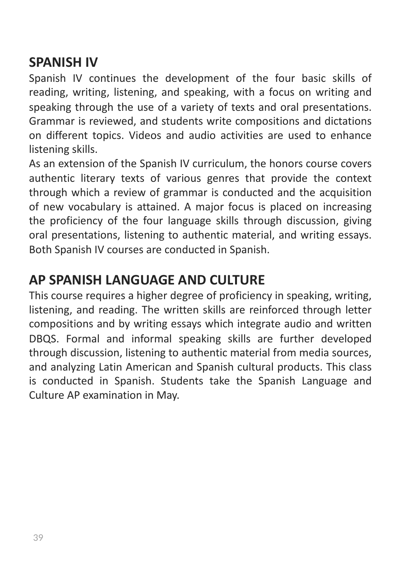#### **SPANISH IV**

Spanish IV continues the development of the four basic skills of reading, writing, listening, and speaking, with a focus on writing and speaking through the use of a variety of texts and oral presentations. Grammar is reviewed, and students write compositions and dictations on different topics. Videos and audio activities are used to enhance listening skills.

As an extension of the Spanish IV curriculum, the honors course covers authentic literary texts of various genres that provide the context through which a review of grammar is conducted and the acquisition of new vocabulary is attained. A major focus is placed on increasing the proficiency of the four language skills through discussion, giving oral presentations, listening to authentic material, and writing essays. Both Spanish IV courses are conducted in Spanish.

#### **AP SPANISH LANGUAGE AND CULTURE**

This course requires a higher degree of proficiency in speaking, writing, listening, and reading. The written skills are reinforced through letter compositions and by writing essays which integrate audio and written DBQS. Formal and informal speaking skills are further developed through discussion, listening to authentic material from media sources, and analyzing Latin American and Spanish cultural products. This class is conducted in Spanish. Students take the Spanish Language and Culture AP examination in May.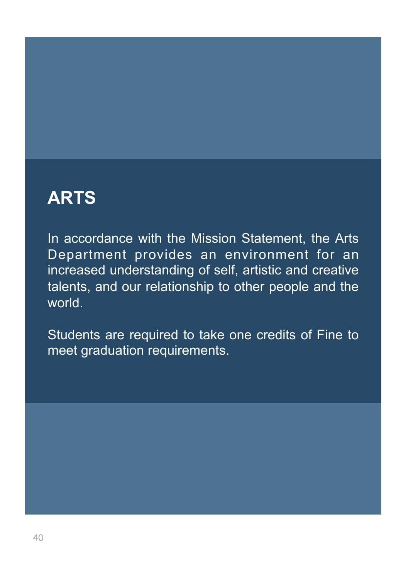# **ARTS**

In accordance with the Mission Statement, the Arts Department provides an environment for an increased understanding of self, artistic and creative talents, and our relationship to other people and the world.

Students are required to take one credits of Fine to meet graduation requirements.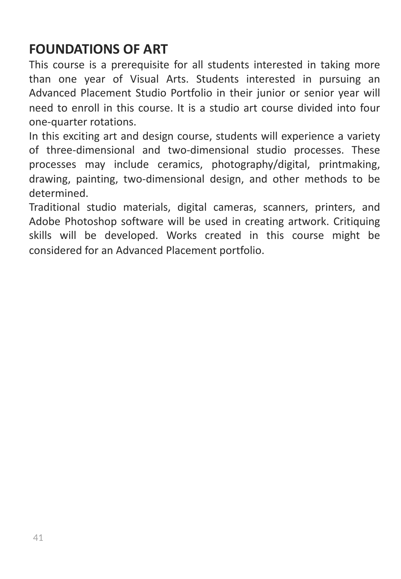#### **FOUNDATIONS OF ART**

This course is a prerequisite for all students interested in taking more than one year of Visual Arts. Students interested in pursuing an Advanced Placement Studio Portfolio in their junior or senior year will need to enroll in this course. It is a studio art course divided into four one-quarter rotations.

In this exciting art and design course, students will experience a variety of three-dimensional and two-dimensional studio processes. These processes may include ceramics, photography/digital, printmaking, drawing, painting, two-dimensional design, and other methods to be determined.

Traditional studio materials, digital cameras, scanners, printers, and Adobe Photoshop software will be used in creating artwork. Critiquing skills will be developed. Works created in this course might be considered for an Advanced Placement portfolio.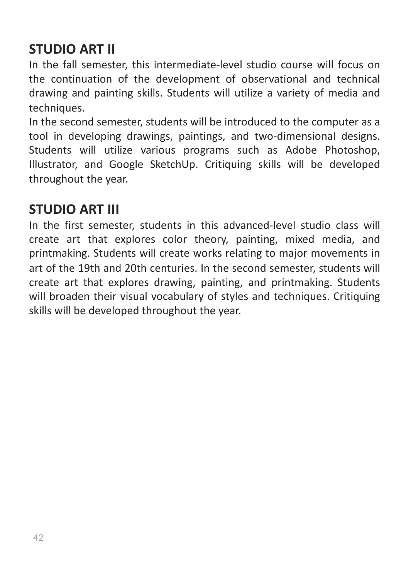## **STUDIO ART II**

In the fall semester, this intermediate-level studio course will focus on the continuation of the development of observational and technical drawing and painting skills. Students will utilize a variety of media and techniques.

In the second semester, students will be introduced to the computer as a tool in developing drawings, paintings, and two-dimensional designs. Students will utilize various programs such as Adobe Photoshop, Illustrator, and Google SketchUp. Critiquing skills will be developed throughout the year.

#### **STUDIO ART III**

In the first semester, students in this advanced-level studio class will create art that explores color theory, painting, mixed media, and printmaking. Students will create works relating to major movements in art of the 19th and 20th centuries. In the second semester, students will create art that explores drawing, painting, and printmaking. Students will broaden their visual vocabulary of styles and techniques. Critiquing skills will be developed throughout the year.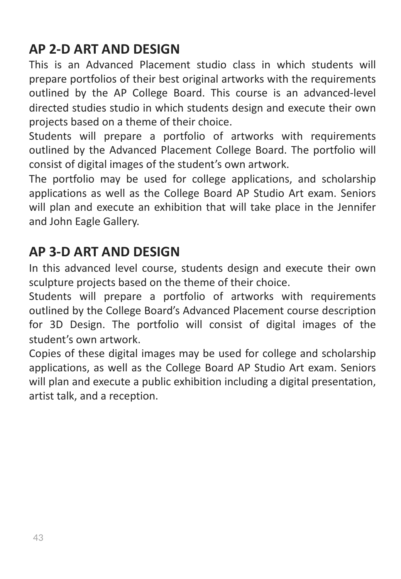#### **AP 2-D ART AND DESIGN**

This is an Advanced Placement studio class in which students will prepare portfolios of their best original artworks with the requirements outlined by the AP College Board. This course is an advanced-level directed studies studio in which students design and execute their own projects based on a theme of their choice.

Students will prepare a portfolio of artworks with requirements outlined by the Advanced Placement College Board. The portfolio will consist of digital images of the student's own artwork.

The portfolio may be used for college applications, and scholarship applications as well as the College Board AP Studio Art exam. Seniors will plan and execute an exhibition that will take place in the Jennifer and John Eagle Gallery.

#### **AP 3-D ART AND DESIGN**

In this advanced level course, students design and execute their own sculpture projects based on the theme of their choice.

Students will prepare a portfolio of artworks with requirements outlined by the College Board's Advanced Placement course description for 3D Design. The portfolio will consist of digital images of the student's own artwork.

Copies of these digital images may be used for college and scholarship applications, as well as the College Board AP Studio Art exam. Seniors will plan and execute a public exhibition including a digital presentation, artist talk, and a reception.